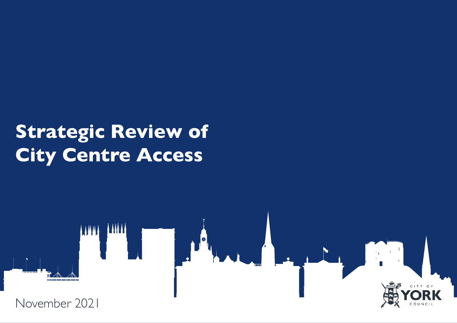# **Strategic Review of City Centre Access**

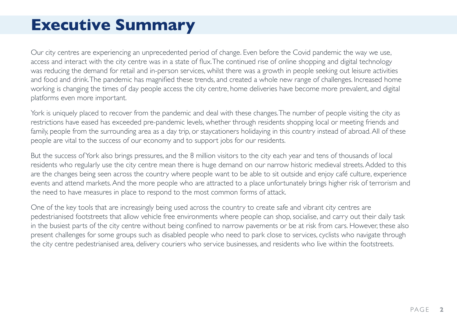### **Executive Summary**

Our city centres are experiencing an unprecedented period of change. Even before the Covid pandemic the way we use, access and interact with the city centre was in a state of flux. The continued rise of online shopping and digital technology was reducing the demand for retail and in-person services, whilst there was a growth in people seeking out leisure activities and food and drink. The pandemic has magnified these trends, and created a whole new range of challenges. Increased home working is changing the times of day people access the city centre, home deliveries have become more prevalent, and digital platforms even more important.

York is uniquely placed to recover from the pandemic and deal with these changes. The number of people visiting the city as restrictions have eased has exceeded pre-pandemic levels, whether through residents shopping local or meeting friends and family, people from the surrounding area as a day trip, or staycationers holidaying in this country instead of abroad. All of these people are vital to the success of our economy and to support jobs for our residents.

But the success of York also brings pressures, and the 8 million visitors to the city each year and tens of thousands of local residents who regularly use the city centre mean there is huge demand on our narrow historic medieval streets. Added to this are the changes being seen across the country where people want to be able to sit outside and enjoy café culture, experience events and attend markets. And the more people who are attracted to a place unfortunately brings higher risk of terrorism and the need to have measures in place to respond to the most common forms of attack.

One of the key tools that are increasingly being used across the country to create safe and vibrant city centres are pedestrianised footstreets that allow vehicle free environments where people can shop, socialise, and carry out their daily task in the busiest parts of the city centre without being confined to narrow pavements or be at risk from cars. However, these also present challenges for some groups such as disabled people who need to park close to services, cyclists who navigate through the city centre pedestrianised area, delivery couriers who service businesses, and residents who live within the footstreets.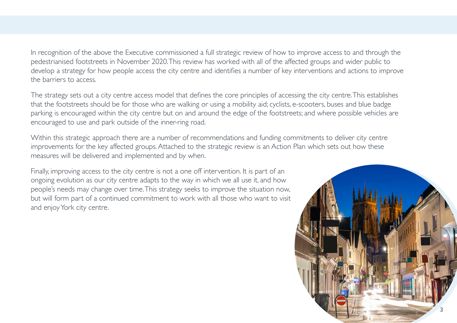In recognition of the above the Executive commissioned a full strategic review of how to improve access to and through the pedestrianised footstreets in November 2020. This review has worked with all of the affected groups and wider public to develop a strategy for how people access the city centre and identifies a number of key interventions and actions to improve the barriers to access.

The strategy sets out a city centre access model that defines the core principles of accessing the city centre. This establishes that the footstreets should be for those who are walking or using a mobility aid; cyclists, e-scooters, buses and blue badge parking is encouraged within the city centre but on and around the edge of the footstreets; and where possible vehicles are encouraged to use and park outside of the inner-ring road.

Within this strategic approach there are a number of recommendations and funding commitments to deliver city centre improvements for the key affected groups. Attached to the strategic review is an Action Plan which sets out how these measures will be delivered and implemented and by when.

Finally, improving access to the city centre is not a one off intervention. It is part of an ongoing evolution as our city centre adapts to the way in which we all use it, and how people's needs may change over time. This strategy seeks to improve the situation now, but will form part of a continued commitment to work with all those who want to visit and enjoy York city centre.

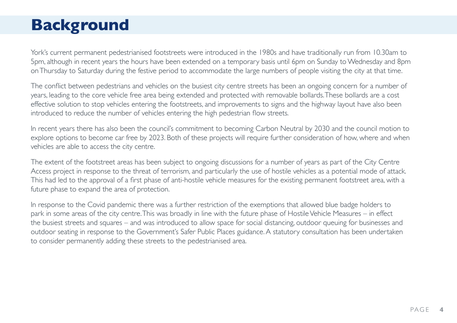## **Background**

York's current permanent pedestrianised footstreets were introduced in the 1980s and have traditionally run from 10.30am to 5pm, although in recent years the hours have been extended on a temporary basis until 6pm on Sunday to Wednesday and 8pm on Thursday to Saturday during the festive period to accommodate the large numbers of people visiting the city at that time.

The conflict between pedestrians and vehicles on the busiest city centre streets has been an ongoing concern for a number of years, leading to the core vehicle free area being extended and protected with removable bollards. These bollards are a cost effective solution to stop vehicles entering the footstreets, and improvements to signs and the highway layout have also been introduced to reduce the number of vehicles entering the high pedestrian flow streets.

In recent years there has also been the council's commitment to becoming Carbon Neutral by 2030 and the council motion to explore options to become car free by 2023. Both of these projects will require further consideration of how, where and when vehicles are able to access the city centre.

The extent of the footstreet areas has been subject to ongoing discussions for a number of years as part of the City Centre Access project in response to the threat of terrorism, and particularly the use of hostile vehicles as a potential mode of attack. This had led to the approval of a first phase of anti-hostile vehicle measures for the existing permanent footstreet area, with a future phase to expand the area of protection.

In response to the Covid pandemic there was a further restriction of the exemptions that allowed blue badge holders to park in some areas of the city centre. This was broadly in line with the future phase of Hostile Vehicle Measures – in effect the busiest streets and squares – and was introduced to allow space for social distancing, outdoor queuing for businesses and outdoor seating in response to the Government's Safer Public Places guidance. A statutory consultation has been undertaken to consider permanently adding these streets to the pedestrianised area.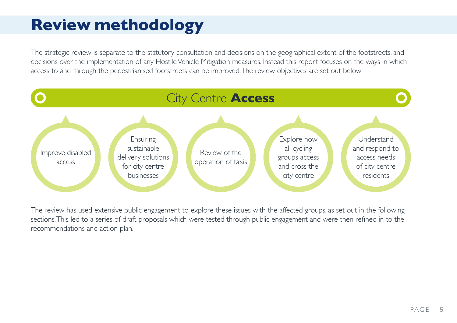# **Review methodology**

The strategic review is separate to the statutory consultation and decisions on the geographical extent of the footstreets, and decisions over the implementation of any Hostile Vehicle Mitigation measures. Instead this report focuses on the ways in which access to and through the pedestrianised footstreets can be improved. The review objectives are set out below:



The review has used extensive public engagement to explore these issues with the affected groups, as set out in the following sections. This led to a series of draft proposals which were tested through public engagement and were then refined in to the recommendations and action plan.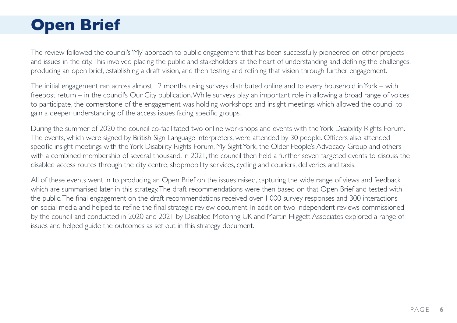# **Open Brief**

The review followed the council's 'My' approach to public engagement that has been successfully pioneered on other projects and issues in the city. This involved placing the public and stakeholders at the heart of understanding and defining the challenges, producing an open brief, establishing a draft vision, and then testing and refining that vision through further engagement.

The initial engagement ran across almost 12 months, using surveys distributed online and to every household in York – with freepost return – in the council's Our City publication. While surveys play an important role in allowing a broad range of voices to participate, the cornerstone of the engagement was holding workshops and insight meetings which allowed the council to gain a deeper understanding of the access issues facing specific groups.

During the summer of 2020 the council co-facilitated two online workshops and events with the York Disability Rights Forum. The events, which were signed by British Sign Language interpreters, were attended by 30 people. Officers also attended specific insight meetings with the York Disability Rights Forum, My Sight York, the Older People's Advocacy Group and others with a combined membership of several thousand. In 2021, the council then held a further seven targeted events to discuss the disabled access routes through the city centre, shopmobility services, cycling and couriers, deliveries and taxis.

All of these events went in to producing an Open Brief on the issues raised, capturing the wide range of views and feedback which are summarised later in this strategy. The draft recommendations were then based on that Open Brief and tested with the public. The final engagement on the draft recommendations received over 1,000 survey responses and 300 interactions on social media and helped to refine the final strategic review document. In addition two independent reviews commissioned by the council and conducted in 2020 and 2021 by Disabled Motoring UK and Martin Higgett Associates explored a range of issues and helped guide the outcomes as set out in this strategy document.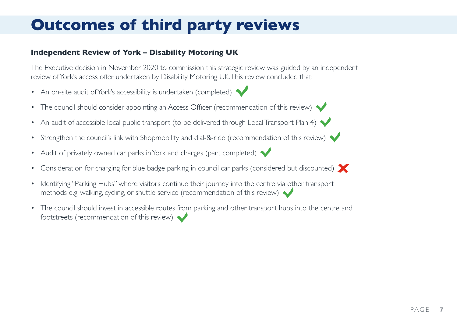# **Outcomes of third party reviews**

#### **Independent Review of York – Disability Motoring UK**

The Executive decision in November 2020 to commission this strategic review was guided by an independent review of York's access offer undertaken by Disability Motoring UK. This review concluded that:

- An on-site audit of York's accessibility is undertaken (completed)
- The council should consider appointing an Access Officer (recommendation of this review)
- An audit of accessible local public transport (to be delivered through Local Transport Plan 4)
- Strengthen the council's link with Shopmobility and dial-&-ride (recommendation of this review)
- Audit of privately owned car parks in York and charges (part completed)
- Consideration for charging for blue badge parking in council car parks (considered but discounted)
- Identifying "Parking Hubs" where visitors continue their journey into the centre via other transport methods e.g. walking, cycling, or shuttle service (recommendation of this review)
- The council should invest in accessible routes from parking and other transport hubs into the centre and footstreets (recommendation of this review)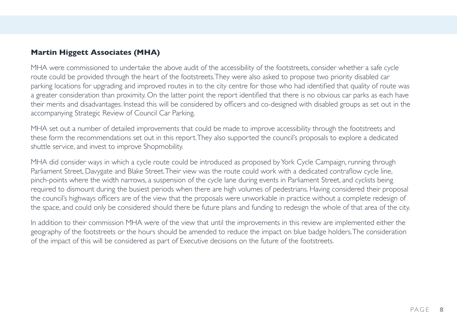#### **Martin Higgett Associates (MHA)**

MHA were commissioned to undertake the above audit of the accessibility of the footstreets, consider whether a safe cycle route could be provided through the heart of the footstreets. They were also asked to propose two priority disabled car parking locations for upgrading and improved routes in to the city centre for those who had identified that quality of route was a greater consideration than proximity. On the latter point the report identified that there is no obvious car parks as each have their merits and disadvantages. Instead this will be considered by officers and co-designed with disabled groups as set out in the accompanying Strategic Review of Council Car Parking.

MHA set out a number of detailed improvements that could be made to improve accessibility through the footstreets and these form the recommendations set out in this report. They also supported the council's proposals to explore a dedicated shuttle service, and invest to improve Shopmobility.

MHA did consider ways in which a cycle route could be introduced as proposed by York Cycle Campaign, running through Parliament Street, Davygate and Blake Street. Their view was the route could work with a dedicated contraflow cycle line, pinch-points where the width narrows, a suspension of the cycle lane during events in Parliament Street, and cyclists being required to dismount during the busiest periods when there are high volumes of pedestrians. Having considered their proposal the council's highways officers are of the view that the proposals were unworkable in practice without a complete redesign of the space, and could only be considered should there be future plans and funding to redesign the whole of that area of the city.

In addition to their commission MHA were of the view that until the improvements in this review are implemented either the geography of the footstreets or the hours should be amended to reduce the impact on blue badge holders. The consideration of the impact of this will be considered as part of Executive decisions on the future of the footstreets.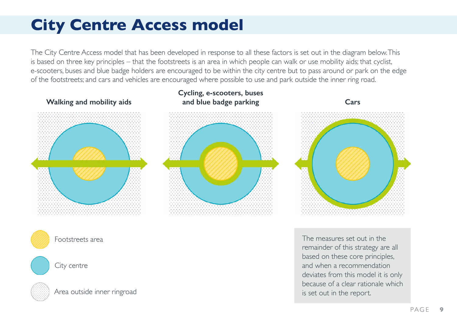# **City Centre Access model**

The City Centre Access model that has been developed in response to all these factors is set out in the diagram below. This is based on three key principles – that the footstreets is an area in which people can walk or use mobility aids; that cyclist, e-scooters, buses and blue badge holders are encouraged to be within the city centre but to pass around or park on the edge of the footstreets; and cars and vehicles are encouraged where possible to use and park outside the inner ring road.

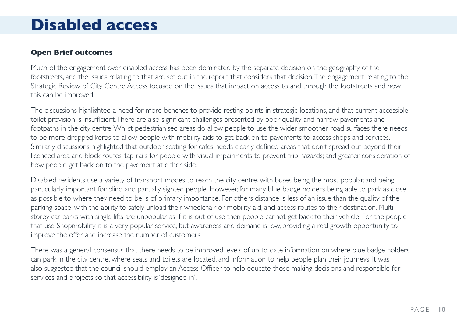### **Disabled access**

#### **Open Brief outcomes**

Much of the engagement over disabled access has been dominated by the separate decision on the geography of the footstreets, and the issues relating to that are set out in the report that considers that decision. The engagement relating to the Strategic Review of City Centre Access focused on the issues that impact on access to and through the footstreets and how this can be improved.

The discussions highlighted a need for more benches to provide resting points in strategic locations, and that current accessible toilet provision is insufficient. There are also significant challenges presented by poor quality and narrow pavements and footpaths in the city centre. Whilst pedestrianised areas do allow people to use the wider, smoother road surfaces there needs to be more dropped kerbs to allow people with mobility aids to get back on to pavements to access shops and services. Similarly discussions highlighted that outdoor seating for cafes needs clearly defined areas that don't spread out beyond their licenced area and block routes; tap rails for people with visual impairments to prevent trip hazards; and greater consideration of how people get back on to the pavement at either side.

Disabled residents use a variety of transport modes to reach the city centre, with buses being the most popular, and being particularly important for blind and partially sighted people. However, for many blue badge holders being able to park as close as possible to where they need to be is of primary importance. For others distance is less of an issue than the quality of the parking space, with the ability to safely unload their wheelchair or mobility aid, and access routes to their destination. Multistorey car parks with single lifts are unpopular as if it is out of use then people cannot get back to their vehicle. For the people that use Shopmobility it is a very popular service, but awareness and demand is low, providing a real growth opportunity to improve the offer and increase the number of customers.

There was a general consensus that there needs to be improved levels of up to date information on where blue badge holders can park in the city centre, where seats and toilets are located, and information to help people plan their journeys. It was also suggested that the council should employ an Access Officer to help educate those making decisions and responsible for services and projects so that accessibility is 'designed-in'.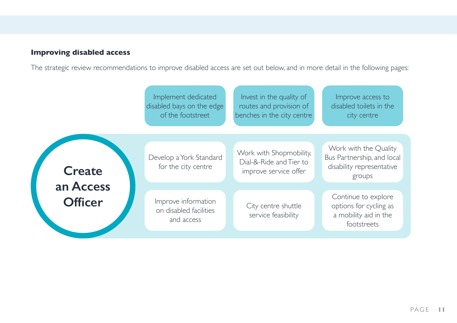### **Improving disabled access**

The strategic review recommendations to improve disabled access are set out below, and in more detail in the following pages:

|                             | Implement dedicated<br>disabled bays on the edge<br>of the footstreet | Invest in the quality of<br>routes and provision of<br>benches in the city centre | Improve access to<br>disabled toilets in the<br>city centre                                |
|-----------------------------|-----------------------------------------------------------------------|-----------------------------------------------------------------------------------|--------------------------------------------------------------------------------------------|
| <b>Create</b>               | Develop a York Standard<br>for the city centre                        | Work with Shopmobility,<br>Dial-&-Ride and Tier to<br>improve service offer       | Work with the Quality<br>Bus Partnership, and local<br>disability representative<br>groups |
| an Access<br><b>Officer</b> | Improve information<br>on disabled facilities<br>and access           | City centre shuttle<br>service feasibility                                        | Continue to explore<br>options for cycling as<br>a mobility aid in the<br>footstreets      |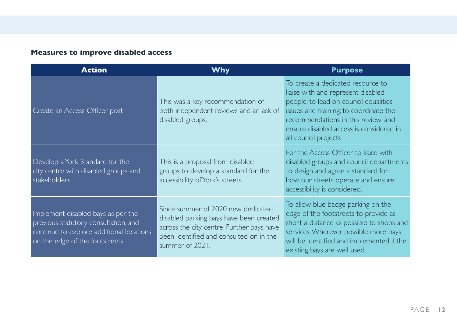### **Measures to improve disabled access**

| <b>Action</b>                                                                                                                                            | Why                                                                                                                                                                                      | <b>Purpose</b>                                                                                                                                                                                                                                                       |
|----------------------------------------------------------------------------------------------------------------------------------------------------------|------------------------------------------------------------------------------------------------------------------------------------------------------------------------------------------|----------------------------------------------------------------------------------------------------------------------------------------------------------------------------------------------------------------------------------------------------------------------|
| Create an Access Officer post                                                                                                                            | This was a key recommendation of<br>both independent reviews and an ask of<br>disabled groups.                                                                                           | To create a dedicated resource to<br>liaise with and represent disabled<br>people; to lead on council equalities<br>issues and training; to coordinate the<br>recommendations in this review; and<br>ensure disabled access is considered in<br>all council projects |
| Develop a York Standard for the<br>city centre with disabled groups and<br>stakeholders                                                                  | This is a proposal from disabled<br>groups to develop a standard for the<br>accessibility of York's streets.                                                                             | For the Access Officer to liaise with<br>disabled groups and council departments<br>to design and agree a standard for<br>how our streets operate and ensure<br>accessibility is considered.                                                                         |
| Implement disabled bays as per the<br>previous statutory consultation, and<br>continue to explore additional locations<br>on the edge of the footstreets | Since summer of 2020 new dedicated<br>disabled parking bays have been created<br>across the city centre. Further bays have<br>been identified and consulted on in the<br>summer of 2021. | To allow blue badge parking on the<br>edge of the footstreets to provide as<br>short a distance as possible to shops and<br>services. Wherever possible more bays<br>will be identified and implemented if the<br>existing bays are well used.                       |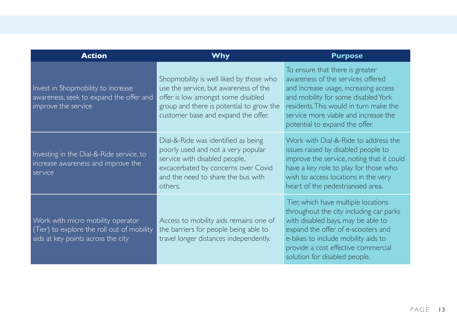| <b>Action</b>                                                                                                         | <b>Why</b>                                                                                                                                                                                                | <b>Purpose</b>                                                                                                                                                                                                                                                            |
|-----------------------------------------------------------------------------------------------------------------------|-----------------------------------------------------------------------------------------------------------------------------------------------------------------------------------------------------------|---------------------------------------------------------------------------------------------------------------------------------------------------------------------------------------------------------------------------------------------------------------------------|
| Invest in Shopmobility to increase<br>awareness, seek to expand the offer and<br>improve the service                  | Shopmobility is well liked by those who<br>use the service, but awareness of the<br>offer is low amongst some disabled<br>group and there is potential to grow the<br>customer base and expand the offer. | To ensure that there is greater<br>awareness of the services offered<br>and increase usage, increasing access<br>and mobility for some disabled York<br>residents. This would in turn make the<br>service more viable and increase the<br>potential to expand the offer.  |
| Investing in the Dial-&-Ride service, to<br>increase awareness and improve the<br>service                             | Dial-&-Ride was identified as being<br>poorly used and not a very popular<br>service with disabled people,<br>excacerbated by concerns over Covid<br>and the need to share the bus with<br>others.        | Work with Dial-&-Ride to address the<br>issues raised by disabled people to<br>improve the service, noting that it could<br>have a key role to play for those who<br>wish to access locations in the very<br>heart of the pedestrianised area.                            |
| Work with micro mobility operator<br>(Tier) to explore the roll out of mobility<br>aids at key points across the city | Access to mobility aids remains one of<br>the barriers for people being able to<br>travel longer distances independently.                                                                                 | Tier, which have multiple locations<br>throughout the city including car parks<br>with disabled bays, may be able to<br>expand the offer of e-scooters and<br>e-bikes to include mobility aids to<br>provide a cost effective commercial<br>solution for disabled people. |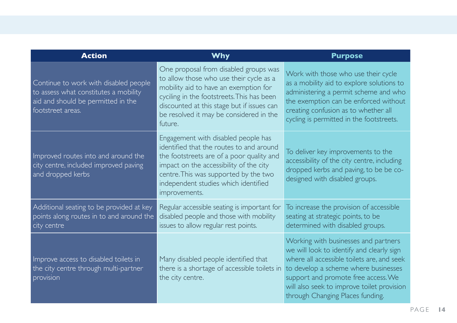| <b>Action</b>                                                                                                                             | <b>Why</b>                                                                                                                                                                                                                                                                  | <b>Purpose</b>                                                                                                                                                                                                                                                                                   |
|-------------------------------------------------------------------------------------------------------------------------------------------|-----------------------------------------------------------------------------------------------------------------------------------------------------------------------------------------------------------------------------------------------------------------------------|--------------------------------------------------------------------------------------------------------------------------------------------------------------------------------------------------------------------------------------------------------------------------------------------------|
| Continue to work with disabled people<br>to assess what constitutes a mobility<br>aid and should be permitted in the<br>footstreet areas. | One proposal from disabled groups was<br>to allow those who use their cycle as a<br>mobility aid to have an exemption for<br>cyciling in the footstreets. This has been<br>discounted at this stage but if issues can<br>be resolved it may be considered in the<br>future. | Work with those who use their cycle<br>as a mobility aid to explore solutions to<br>administering a permit scheme and who<br>the exemption can be enforced without<br>creating confusion as to whether all<br>cycling is permitted in the footstreets.                                           |
| Improved routes into and around the<br>city centre, included improved paving<br>and dropped kerbs                                         | Engagement with disabled people has<br>identified that the routes to and around<br>the footstreets are of a poor quality and<br>impact on the accessibility of the city<br>centre. This was supported by the two<br>independent studies which identified<br>improvements.   | To deliver key improvements to the<br>accessibility of the city centre, including<br>dropped kerbs and paving, to be be co-<br>designed with disabled groups.                                                                                                                                    |
| Additional seating to be provided at key<br>points along routes in to and around the<br>city centre                                       | Regular accessible seating is important for<br>disabled people and those with mobility<br>issues to allow regular rest points.                                                                                                                                              | To increase the provision of accessible<br>seating at strategic points, to be<br>determined with disabled groups.                                                                                                                                                                                |
| Improve access to disabled toilets in<br>the city centre through multi-partner<br>provision                                               | Many disabled people identified that<br>there is a shortage of accessible toilets in<br>the city centre.                                                                                                                                                                    | Working with businesses and partners<br>we will look to identify and clearly sign<br>where all accessible toilets are, and seek<br>to develop a scheme where businesses<br>support and promote free access. We<br>will also seek to improve toilet provision<br>through Changing Places funding. |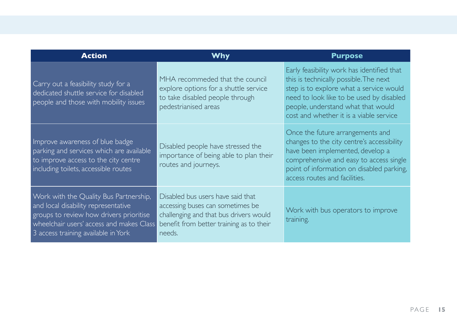| <b>Action</b>                                                                                                                                                                                               | <b>Why</b>                                                                                                                                                            | <b>Purpose</b>                                                                                                                                                                                                                                               |
|-------------------------------------------------------------------------------------------------------------------------------------------------------------------------------------------------------------|-----------------------------------------------------------------------------------------------------------------------------------------------------------------------|--------------------------------------------------------------------------------------------------------------------------------------------------------------------------------------------------------------------------------------------------------------|
| Carry out a feasibility study for a<br>dedicated shuttle service for disabled<br>people and those with mobility issues                                                                                      | MHA recommeded that the council<br>explore options for a shuttle service<br>to take disabled people through<br>pedestrianised areas                                   | Early feasibility work has identified that<br>this is technically possible. The next<br>step is to explore what a service would<br>need to look like to be used by disabled<br>people, understand what that would<br>cost and whether it is a viable service |
| Improve awareness of blue badge<br>parking and services which are available<br>to improve access to the city centre<br>including toilets, accessible routes                                                 | Disabled people have stressed the<br>importance of being able to plan their<br>routes and journeys.                                                                   | Once the future arrangements and<br>changes to the city centre's accessibility<br>have been implemented, develop a<br>comprehensive and easy to access single<br>point of information on disabled parking,<br>access routes and facilities.                  |
| Work with the Quality Bus Partnership,<br>and local disability representative<br>groups to review how drivers prioritise<br>wheelchair users' access and makes Class<br>3 access training available in York | Disabled bus users have said that<br>accessing buses can sometimes be<br>challenging and that bus drivers would<br>benefit from better training as to their<br>needs. | Work with bus operators to improve<br>training.                                                                                                                                                                                                              |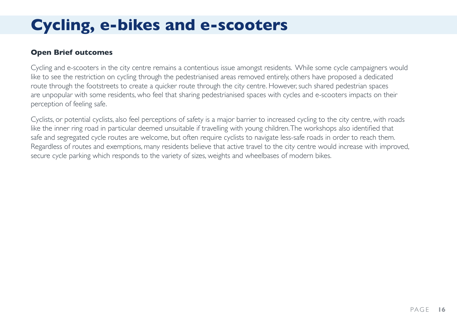# **Cycling, e-bikes and e-scooters**

#### **Open Brief outcomes**

Cycling and e-scooters in the city centre remains a contentious issue amongst residents. While some cycle campaigners would like to see the restriction on cycling through the pedestrianised areas removed entirely, others have proposed a dedicated route through the footstreets to create a quicker route through the city centre. However, such shared pedestrian spaces are unpopular with some residents, who feel that sharing pedestrianised spaces with cycles and e-scooters impacts on their perception of feeling safe.

Cyclists, or potential cyclists, also feel perceptions of safety is a major barrier to increased cycling to the city centre, with roads like the inner ring road in particular deemed unsuitable if travelling with young children. The workshops also identified that safe and segregated cycle routes are welcome, but often require cyclists to navigate less-safe roads in order to reach them. Regardless of routes and exemptions, many residents believe that active travel to the city centre would increase with improved, secure cycle parking which responds to the variety of sizes, weights and wheelbases of modern bikes.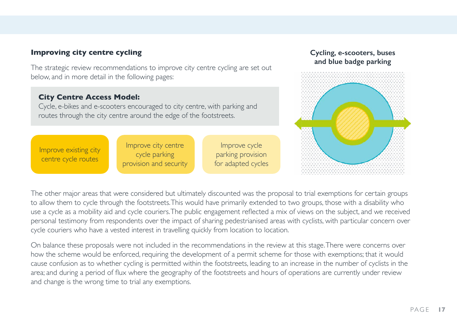#### **Improving city centre cycling**

The strategic review recommendations to improve city centre cycling are set out below, and in more detail in the following pages:

#### **City Centre Access Model:**

Cycle, e-bikes and e-scooters encouraged to city centre, with parking and routes through the city centre around the edge of the footstreets.

Improve existing city centre cycle routes

Improve city centre cycle parking provision and security

Improve cycle parking provision for adapted cycles

#### **Cycling, e-scooters, buses and blue badge parking**



The other major areas that were considered but ultimately discounted was the proposal to trial exemptions for certain groups to allow them to cycle through the footstreets. This would have primarily extended to two groups, those with a disability who use a cycle as a mobility aid and cycle couriers. The public engagement reflected a mix of views on the subject, and we received personal testimony from respondents over the impact of sharing pedestrianised areas with cyclists, with particular concern over cycle couriers who have a vested interest in travelling quickly from location to location.

On balance these proposals were not included in the recommendations in the review at this stage. There were concerns over how the scheme would be enforced, requiring the development of a permit scheme for those with exemptions; that it would cause confusion as to whether cycling is permitted within the footstreets, leading to an increase in the number of cyclists in the area; and during a period of flux where the geography of the footstreets and hours of operations are currently under review and change is the wrong time to trial any exemptions.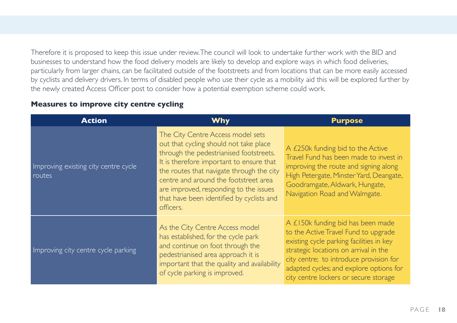Therefore it is proposed to keep this issue under review. The council will look to undertake further work with the BID and businesses to understand how the food delivery models are likely to develop and explore ways in which food deliveries, particularly from larger chains, can be facilitated outside of the footstreets and from locations that can be more easily accessed by cyclists and delivery drivers. In terms of disabled people who use their cycle as a mobility aid this will be explored further by the newly created Access Officer post to consider how a potential exemption scheme could work.

#### **Measures to improve city centre cycling**

| <b>Action</b>                                  | <b>Why</b>                                                                                                                                                                                                                                                                                                                                                   | <b>Purpose</b>                                                                                                                                                                                                                                                                                |
|------------------------------------------------|--------------------------------------------------------------------------------------------------------------------------------------------------------------------------------------------------------------------------------------------------------------------------------------------------------------------------------------------------------------|-----------------------------------------------------------------------------------------------------------------------------------------------------------------------------------------------------------------------------------------------------------------------------------------------|
| Improving existing city centre cycle<br>routes | The City Centre Access model sets<br>out that cycling should not take place<br>through the pedestrianised footstreets.<br>It is therefore important to ensure that<br>the routes that navigate through the city<br>centre and around the footstreet area<br>are improved, responding to the issues<br>that have been identified by cyclists and<br>officers. | A £250k funding bid to the Active<br>Travel Fund has been made to invest in<br>improving the route and signing along<br>High Petergate, Minster Yard, Deangate,<br>Goodramgate, Aldwark, Hungate,<br>Navigation Road and Walmgate.                                                            |
| Improving city centre cycle parking            | As the City Centre Access model<br>has established, for the cycle park<br>and continue on foot through the<br>pedestrianised area approach it is<br>important that the quality and availability<br>of cycle parking is improved.                                                                                                                             | A £150k funding bid has been made<br>to the Active Travel Fund to upgrade<br>existing cycle parking facilities in key<br>strategic locations on arrival in the<br>city centre; to introduce provision for<br>adapted cycles; and explore options for<br>city centre lockers or secure storage |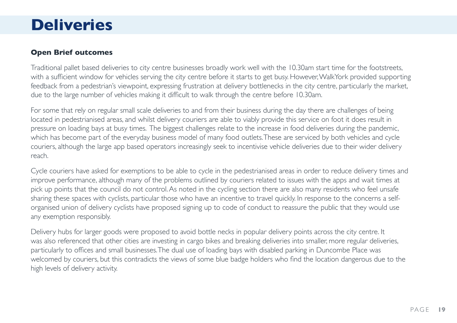### **Deliveries**

#### **Open Brief outcomes**

Traditional pallet based deliveries to city centre businesses broadly work well with the 10.30am start time for the footstreets, with a sufficient window for vehicles serving the city centre before it starts to get busy. However, WalkYork provided supporting feedback from a pedestrian's viewpoint, expressing frustration at delivery bottlenecks in the city centre, particularly the market, due to the large number of vehicles making it difficult to walk through the centre before 10.30am.

For some that rely on regular small scale deliveries to and from their business during the day there are challenges of being located in pedestrianised areas, and whilst delivery couriers are able to viably provide this service on foot it does result in pressure on loading bays at busy times. The biggest challenges relate to the increase in food deliveries during the pandemic, which has become part of the everyday business model of many food outlets. These are serviced by both vehicles and cycle couriers, although the large app based operators increasingly seek to incentivise vehicle deliveries due to their wider delivery reach.

Cycle couriers have asked for exemptions to be able to cycle in the pedestrianised areas in order to reduce delivery times and improve performance, although many of the problems outlined by couriers related to issues with the apps and wait times at pick up points that the council do not control. As noted in the cycling section there are also many residents who feel unsafe sharing these spaces with cyclists, particular those who have an incentive to travel quickly. In response to the concerns a selforganised union of delivery cyclists have proposed signing up to code of conduct to reassure the public that they would use any exemption responsibly.

Delivery hubs for larger goods were proposed to avoid bottle necks in popular delivery points across the city centre. It was also referenced that other cities are investing in cargo bikes and breaking deliveries into smaller, more regular deliveries, particularly to offices and small businesses. The dual use of loading bays with disabled parking in Duncombe Place was welcomed by couriers, but this contradicts the views of some blue badge holders who find the location dangerous due to the high levels of delivery activity.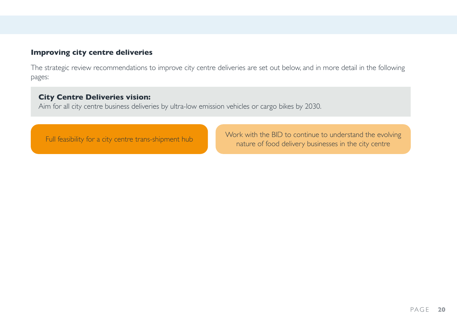#### **Improving city centre deliveries**

The strategic review recommendations to improve city centre deliveries are set out below, and in more detail in the following pages:

#### **City Centre Deliveries vision:**

Aim for all city centre business deliveries by ultra-low emission vehicles or cargo bikes by 2030.

Full feasibility for a city centre trans-shipment hub Work with the BID to continue to understand the evolving nature of food delivery businesses in the city centre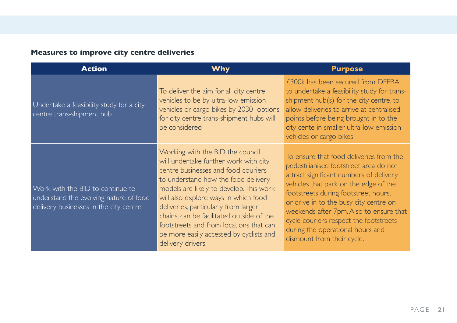### **Measures to improve city centre deliveries**

| <b>Action</b>                                                                                                        | <b>Why</b>                                                                                                                                                                                                                                                                                                                                                                                                                                 | <b>Purpose</b>                                                                                                                                                                                                                                                                                                                                                                                                |
|----------------------------------------------------------------------------------------------------------------------|--------------------------------------------------------------------------------------------------------------------------------------------------------------------------------------------------------------------------------------------------------------------------------------------------------------------------------------------------------------------------------------------------------------------------------------------|---------------------------------------------------------------------------------------------------------------------------------------------------------------------------------------------------------------------------------------------------------------------------------------------------------------------------------------------------------------------------------------------------------------|
| Undertake a feasibility study for a city<br>centre trans-shipment hub                                                | To deliver the aim for all city centre<br>vehicles to be by ultra-low emission<br>vehicles or cargo bikes by 2030 options<br>for city centre trans-shipment hubs will<br>be considered                                                                                                                                                                                                                                                     | £300k has been secured from DEFRA<br>to undertake a feasibility study for trans-<br>shipment hub(s) for the city centre, to<br>allow deliveries to arrive at centralised<br>points before being brought in to the<br>city cente in smaller ultra-low emission<br>vehicles or cargo bikes                                                                                                                      |
| Work with the BID to continue to<br>understand the evolving nature of food<br>delivery businesses in the city centre | Working with the BID the council<br>will undertake further work with city<br>centre businesses and food couriers<br>to understand how the food delivery<br>models are likely to develop. This work<br>will also explore ways in which food<br>deliveries, particularly from larger<br>chains, can be facilitated outside of the<br>footstreets and from locations that can<br>be more easily accessed by cyclists and<br>delivery drivers. | To ensure that food deliveries from the<br>pedestrianised footstreet area do not<br>attract significant numbers of delivery<br>vehicles that park on the edge of the<br>footstreets during footstreet hours,<br>or drive in to the busy city centre on<br>weekends after 7pm. Also to ensure that<br>cycle couriers respect the footstreets<br>during the operational hours and<br>dismount from their cycle. |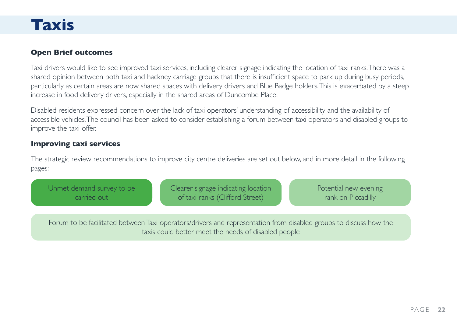### **Taxis**

#### **Open Brief outcomes**

Taxi drivers would like to see improved taxi services, including clearer signage indicating the location of taxi ranks. There was a shared opinion between both taxi and hackney carriage groups that there is insufficient space to park up during busy periods, particularly as certain areas are now shared spaces with delivery drivers and Blue Badge holders. This is exacerbated by a steep increase in food delivery drivers, especially in the shared areas of Duncombe Place.

Disabled residents expressed concern over the lack of taxi operators' understanding of accessibility and the availability of accessible vehicles. The council has been asked to consider establishing a forum between taxi operators and disabled groups to improve the taxi offer.

#### **Improving taxi services**

The strategic review recommendations to improve city centre deliveries are set out below, and in more detail in the following pages:

Unmet demand survey to be carried out

Clearer signage indicating location of taxi ranks (Clifford Street)

Potential new evening rank on Piccadilly

Forum to be facilitated between Taxi operators/drivers and representation from disabled groups to discuss how the taxis could better meet the needs of disabled people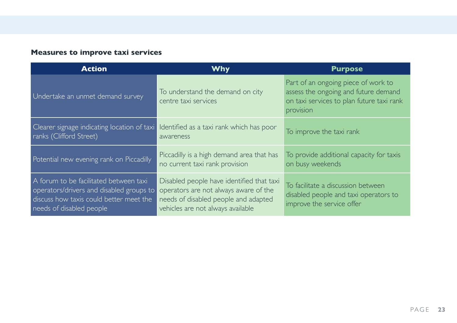### **Measures to improve taxi services**

| <b>Action</b>                                                                                                                                             | <b>Why</b>                                                                                                                                                      | <b>Purpose</b>                                                                                                                        |  |
|-----------------------------------------------------------------------------------------------------------------------------------------------------------|-----------------------------------------------------------------------------------------------------------------------------------------------------------------|---------------------------------------------------------------------------------------------------------------------------------------|--|
| Undertake an unmet demand survey                                                                                                                          | To understand the demand on city<br>centre taxi services                                                                                                        | Part of an ongoing piece of work to<br>assess the ongoing and future demand<br>on taxi services to plan future taxi rank<br>provision |  |
| Clearer signage indicating location of taxi<br>ranks (Clifford Street)                                                                                    | Identified as a taxi rank which has poor<br>awareness                                                                                                           | To improve the taxi rank                                                                                                              |  |
| Potential new evening rank on Piccadilly                                                                                                                  | Piccadilly is a high demand area that has<br>no current taxi rank provision                                                                                     | To provide additional capacity for taxis<br>on busy weekends                                                                          |  |
| A forum to be facilitated between taxi<br>operators/drivers and disabled groups to<br>discuss how taxis could better meet the<br>needs of disabled people | Disabled people have identified that taxi<br>operators are not always aware of the<br>needs of disabled people and adapted<br>vehicles are not always available | To facilitate a discussion between<br>disabled people and taxi operators to<br>improve the service offer                              |  |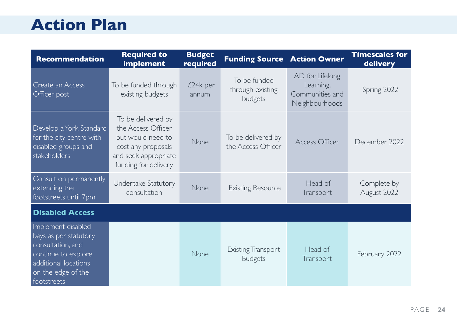### **Action Plan**

| <b>Recommendation</b>                                                                                                                                | <b>Required to</b><br>implement                                                                                                     | <b>Budget</b><br>required | <b>Funding Source Action Owner</b>          |                                                                   | <b>Timescales for</b><br>delivery |
|------------------------------------------------------------------------------------------------------------------------------------------------------|-------------------------------------------------------------------------------------------------------------------------------------|---------------------------|---------------------------------------------|-------------------------------------------------------------------|-----------------------------------|
| Create an Access<br>Officer post                                                                                                                     | To be funded through<br>existing budgets                                                                                            | £24k per<br>annum         | To be funded<br>through existing<br>budgets | AD for Lifelong<br>Learning,<br>Communities and<br>Neighbourhoods | Spring 2022                       |
| Develop a York Standard<br>for the city centre with<br>disabled groups and<br>stakeholders                                                           | To be delivered by<br>the Access Officer<br>but would need to<br>cost any proposals<br>and seek appropriate<br>funding for delivery | None                      | To be delivered by<br>the Access Officer    | Access Officer                                                    | December 2022                     |
| Consult on permanently<br>extending the<br>footstreets until 7pm                                                                                     | Undertake Statutory<br>consultation                                                                                                 | None                      | <b>Existing Resource</b>                    | Head of<br>Transport                                              | Complete by<br>August 2022        |
| <b>Disabled Access</b>                                                                                                                               |                                                                                                                                     |                           |                                             |                                                                   |                                   |
| Implement disabled<br>bays as per statutory<br>consultation, and<br>continue to explore<br>additional locations<br>on the edge of the<br>footstreets |                                                                                                                                     | None                      | <b>Existing Transport</b><br><b>Budgets</b> | Head of<br>Transport                                              | February 2022                     |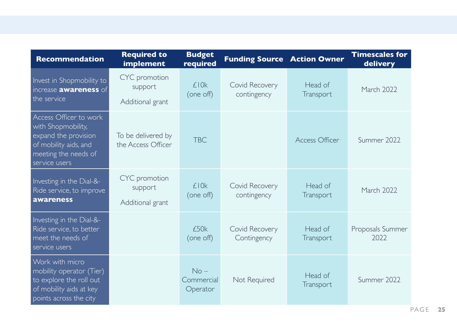| <b>Recommendation</b>                                                                                                                  | <b>Required to</b><br>implement              | <b>Budget</b><br>required        | <b>Funding Source Action Owner</b> |                      | <b>Timescales for</b><br>delivery |
|----------------------------------------------------------------------------------------------------------------------------------------|----------------------------------------------|----------------------------------|------------------------------------|----------------------|-----------------------------------|
| Invest in Shopmobility to<br>increase <b>awareness</b> of<br>the service                                                               | CYC promotion<br>support<br>Additional grant | £10k<br>(one off)                | Covid Recovery<br>contingency      | Head of<br>Transport | March 2022                        |
| Access Officer to work<br>with Shopmobility,<br>expand the provision<br>of mobility aids, and<br>meeting the needs of<br>service users | To be delivered by<br>the Access Officer     | <b>TBC</b>                       |                                    | Access Officer       | Summer 2022                       |
| Investing in the Dial-&-<br>Ride service, to improve<br>awareness                                                                      | CYC promotion<br>support<br>Additional grant | £10k<br>(one off)                | Covid Recovery<br>contingency      | Head of<br>Transport | March 2022                        |
| Investing in the Dial-&-<br>Ride service, to better<br>meet the needs of<br>service users                                              |                                              | £50k<br>(one off)                | Covid Recovery<br>Contingency      | Head of<br>Transport | Proposals Summer<br>2022          |
| Work with micro<br>mobility operator (Tier)<br>to explore the roll out<br>of mobility aids at key<br>points across the city            |                                              | $No -$<br>Commercial<br>Operator | Not Required                       | Head of<br>Transport | Summer 2022                       |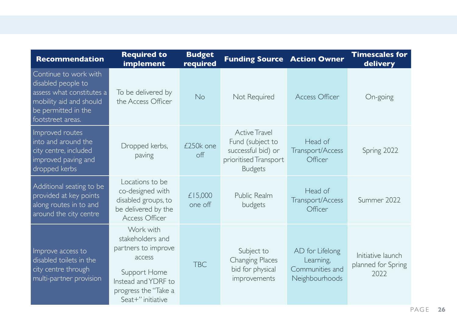| <b>Recommendation</b>                                                                                                                           | <b>Required to</b><br>implement                                                                                                                    | <b>Budget</b><br>required | <b>Funding Source Action Owner</b>                                                                        |                                                                   | <b>Timescales for</b><br>delivery               |
|-------------------------------------------------------------------------------------------------------------------------------------------------|----------------------------------------------------------------------------------------------------------------------------------------------------|---------------------------|-----------------------------------------------------------------------------------------------------------|-------------------------------------------------------------------|-------------------------------------------------|
| Continue to work with<br>disabled people to<br>assess what constitutes a<br>mobility aid and should<br>be permitted in the<br>footstreet areas. | To be delivered by<br>the Access Officer                                                                                                           | <b>No</b>                 | Not Required                                                                                              | Access Officer                                                    | On-going                                        |
| Improved routes<br>into and around the<br>city centre, included<br>improved paving and<br>dropped kerbs                                         | Dropped kerbs,<br>paving                                                                                                                           | £250k one<br>off          | <b>Active Travel</b><br>Fund (subject to<br>successful bid) or<br>prioritised Transport<br><b>Budgets</b> | Head of<br>Transport/Access<br>Officer                            | Spring 2022                                     |
| Additional seating to be<br>provided at key points<br>along routes in to and<br>around the city centre                                          | Locations to be<br>co-designed with<br>disabled groups, to<br>be delivered by the<br>Access Officer                                                | £15,000<br>one off        | Public Realm<br>budgets                                                                                   | Head of<br>Transport/Access<br>Officer                            | Summer 2022                                     |
| Improve access to<br>disabled toilets in the<br>city centre through<br>multi-partner provision                                                  | Work with<br>stakeholders and<br>partners to improve<br>access<br>Support Home<br>Instead and YDRF to<br>progress the "Take a<br>Seat+" initiative | <b>TBC</b>                | Subject to<br><b>Changing Places</b><br>bid for physical<br>improvements                                  | AD for Lifelong<br>Learning,<br>Communities and<br>Neighbourhoods | Initiative launch<br>planned for Spring<br>2022 |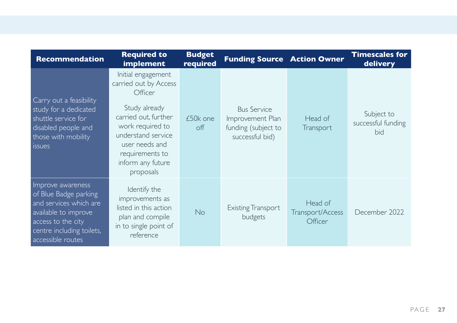| <b>Recommendation</b>                                                                                                                                                | <b>Required to</b><br>implement                                                                                                                                                                                  | <b>Budget</b><br>required | <b>Funding Source Action Owner</b>                                               |                                        | <b>Timescales for</b><br>delivery       |
|----------------------------------------------------------------------------------------------------------------------------------------------------------------------|------------------------------------------------------------------------------------------------------------------------------------------------------------------------------------------------------------------|---------------------------|----------------------------------------------------------------------------------|----------------------------------------|-----------------------------------------|
| Carry out a feasibility<br>study for a dedicated<br>shuttle service for<br>disabled people and<br>those with mobility<br><i>issues</i>                               | Initial engagement<br>carried out by Access<br>Officer<br>Study already<br>carried out, further<br>work required to<br>understand service<br>user needs and<br>requirements to<br>inform any future<br>proposals | £50k one<br>off           | <b>Bus Service</b><br>Improvement Plan<br>funding (subject to<br>successful bid) | Head of<br>Transport                   | Subject to<br>successful funding<br>bid |
| Improve awareness<br>of Blue Badge parking<br>and services which are<br>available to improve<br>access to the city<br>centre including toilets,<br>accessible routes | Identify the<br>improvements as<br>listed in this action<br>plan and compile<br>in to single point of<br>reference                                                                                               | <b>No</b>                 | <b>Existing Transport</b><br>budgets                                             | Head of<br>Transport/Access<br>Officer | December 2022                           |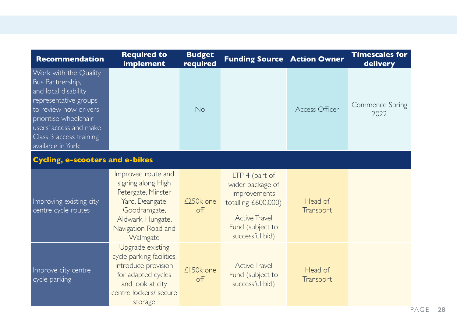| <b>Recommendation</b>                                                                                                                                                                                                   | <b>Required to</b><br>implement                                                                                                                           | <b>Budget</b><br>required | <b>Funding Source Action Owner</b>                                                                                                       |                      | <b>Timescales for</b><br>delivery |  |
|-------------------------------------------------------------------------------------------------------------------------------------------------------------------------------------------------------------------------|-----------------------------------------------------------------------------------------------------------------------------------------------------------|---------------------------|------------------------------------------------------------------------------------------------------------------------------------------|----------------------|-----------------------------------|--|
| Work with the Quality<br>Bus Partnership,<br>and local disability<br>representative groups<br>to review how drivers<br>prioritise wheelchair<br>users' access and make<br>Class 3 access training<br>available in York; |                                                                                                                                                           | <b>No</b>                 |                                                                                                                                          | Access Officer       | Commence Spring<br>2022           |  |
| <b>Cycling, e-scooters and e-bikes</b>                                                                                                                                                                                  |                                                                                                                                                           |                           |                                                                                                                                          |                      |                                   |  |
| Improving existing city<br>centre cycle routes                                                                                                                                                                          | Improved route and<br>signing along High<br>Petergate, Minster<br>Yard, Deangate,<br>Goodramgate,<br>Aldwark, Hungate,<br>Navigation Road and<br>Walmgate | £250k one<br>off          | LTP 4 (part of<br>wider package of<br>improvements<br>totalling £600,000)<br><b>Active Travel</b><br>Fund (subject to<br>successful bid) | Head of<br>Transport |                                   |  |
| Improve city centre<br>cycle parking                                                                                                                                                                                    | Upgrade existing<br>cycle parking facilities,<br>introduce provision<br>for adapted cycles<br>and look at city<br>centre lockers/ secure<br>storage       | £150k one<br>off          | <b>Active Travel</b><br>Fund (subject to<br>successful bid)                                                                              | Head of<br>Transport |                                   |  |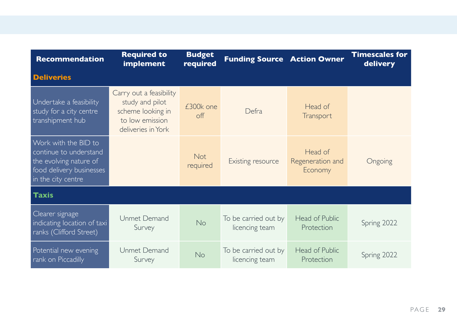| <b>Recommendation</b>                                                                                                      | <b>Required to</b><br>implement                                                                          | <b>Budget</b><br>required | <b>Funding Source Action Owner</b>     |                                        | <b>Timescales for</b><br>delivery |  |
|----------------------------------------------------------------------------------------------------------------------------|----------------------------------------------------------------------------------------------------------|---------------------------|----------------------------------------|----------------------------------------|-----------------------------------|--|
| <b>Deliveries</b>                                                                                                          |                                                                                                          |                           |                                        |                                        |                                   |  |
| Undertake a feasibility<br>study for a city centre<br>transhipment hub                                                     | Carry out a feasibility<br>study and pilot<br>scheme looking in<br>to low emission<br>deliveries in York | £300k one<br>$\circ$ ff   | Defra                                  | Head of<br>Transport                   |                                   |  |
| Work with the BID to<br>continue to understand<br>the evolving nature of<br>food delivery businesses<br>in the city centre |                                                                                                          | <b>Not</b><br>required    | Existing resource                      | Head of<br>Regeneration and<br>Economy | Ongoing                           |  |
| <b>Taxis</b>                                                                                                               |                                                                                                          |                           |                                        |                                        |                                   |  |
| Clearer signage<br>indicating location of taxi<br>ranks (Clifford Street)                                                  | Unmet Demand<br>Survey                                                                                   | No                        | To be carried out by<br>licencing team | Head of Public<br>Protection           | Spring 2022                       |  |
| Potential new evening<br>rank on Piccadilly                                                                                | Unmet Demand<br>Survey                                                                                   | <b>No</b>                 | To be carried out by<br>licencing team | Head of Public<br>Protection           | Spring 2022                       |  |